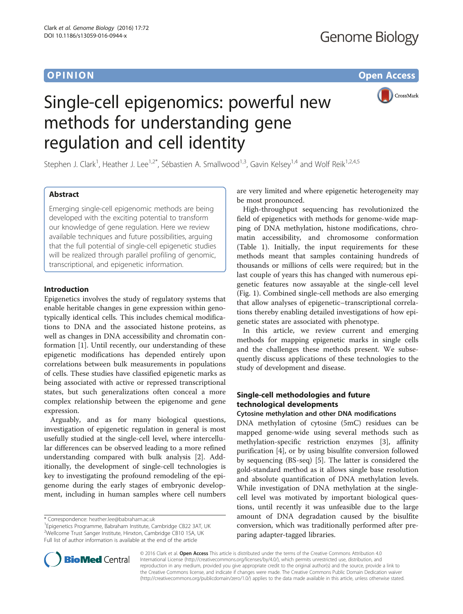O PINION Open Access



# Single-cell epigenomics: powerful new methods for understanding gene regulation and cell identity

Stephen J. Clark<sup>1</sup>, Heather J. Lee<sup>1,2\*</sup>, Sébastien A. Smallwood<sup>1,3</sup>, Gavin Kelsey<sup>1,4</sup> and Wolf Reik<sup>1,2,4,5</sup>

# Abstract

Emerging single-cell epigenomic methods are being developed with the exciting potential to transform our knowledge of gene regulation. Here we review available techniques and future possibilities, arguing that the full potential of single-cell epigenetic studies will be realized through parallel profiling of genomic, transcriptional, and epigenetic information.

# Introduction

Epigenetics involves the study of regulatory systems that enable heritable changes in gene expression within genotypically identical cells. This includes chemical modifications to DNA and the associated histone proteins, as well as changes in DNA accessibility and chromatin conformation [[1\]](#page-8-0). Until recently, our understanding of these epigenetic modifications has depended entirely upon correlations between bulk measurements in populations of cells. These studies have classified epigenetic marks as being associated with active or repressed transcriptional states, but such generalizations often conceal a more complex relationship between the epigenome and gene expression.

Arguably, and as for many biological questions, investigation of epigenetic regulation in general is most usefully studied at the single-cell level, where intercellular differences can be observed leading to a more refined understanding compared with bulk analysis [[2\]](#page-8-0). Additionally, the development of single-cell technologies is key to investigating the profound remodeling of the epigenome during the early stages of embryonic development, including in human samples where cell numbers



High-throughput sequencing has revolutionized the field of epigenetics with methods for genome-wide mapping of DNA methylation, histone modifications, chromatin accessibility, and chromosome conformation (Table [1](#page-1-0)). Initially, the input requirements for these methods meant that samples containing hundreds of thousands or millions of cells were required; but in the last couple of years this has changed with numerous epigenetic features now assayable at the single-cell level (Fig. [1](#page-2-0)). Combined single-cell methods are also emerging that allow analyses of epigenetic–transcriptional correlations thereby enabling detailed investigations of how epigenetic states are associated with phenotype.

In this article, we review current and emerging methods for mapping epigenetic marks in single cells and the challenges these methods present. We subsequently discuss applications of these technologies to the study of development and disease.

# Single-cell methodologies and future technological developments

# Cytosine methylation and other DNA modifications

DNA methylation of cytosine (5mC) residues can be mapped genome-wide using several methods such as methylation-specific restriction enzymes [[3\]](#page-8-0), affinity purification [\[4](#page-8-0)], or by using bisulfite conversion followed by sequencing (BS-seq) [[5\]](#page-8-0). The latter is considered the gold-standard method as it allows single base resolution and absolute quantification of DNA methylation levels. While investigation of DNA methylation at the singlecell level was motivated by important biological questions, until recently it was unfeasible due to the large amount of DNA degradation caused by the bisulfite conversion, which was traditionally performed after preparing adapter-tagged libraries.



© 2016 Clark et al. Open Access This article is distributed under the terms of the Creative Commons Attribution 4.0 International License [\(http://creativecommons.org/licenses/by/4.0/](http://creativecommons.org/licenses/by/4.0/)), which permits unrestricted use, distribution, and reproduction in any medium, provided you give appropriate credit to the original author(s) and the source, provide a link to the Creative Commons license, and indicate if changes were made. The Creative Commons Public Domain Dedication waiver [\(http://creativecommons.org/publicdomain/zero/1.0/](http://creativecommons.org/publicdomain/zero/1.0/)) applies to the data made available in this article, unless otherwise stated.

<sup>\*</sup> Correspondence: [heather.lee@babraham.ac.uk](mailto:heather.lee@babraham.ac.uk) <sup>1</sup>

<sup>&</sup>lt;sup>1</sup> Epigenetics Programme, Babraham Institute, Cambridge CB22 3AT, UK 2 Wellcome Trust Sanger Institute, Hinxton, Cambridge CB10 1SA, UK Full list of author information is available at the end of the article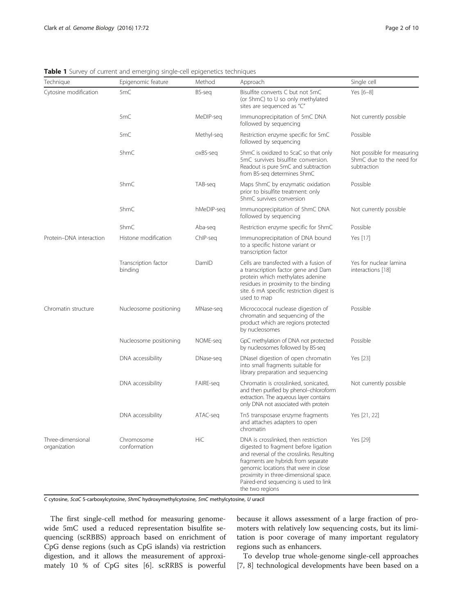| Technique                         | Epigenomic feature              | Method     | Approach                                                                                                                                                                                                                                                                                                      | Single cell                                                           |
|-----------------------------------|---------------------------------|------------|---------------------------------------------------------------------------------------------------------------------------------------------------------------------------------------------------------------------------------------------------------------------------------------------------------------|-----------------------------------------------------------------------|
| Cytosine modification             | 5mC                             | BS-seq     | Bisulfite converts C but not 5mC<br>(or 5hmC) to U so only methylated<br>sites are sequenced as "C"                                                                                                                                                                                                           | Yes [6-8]                                                             |
|                                   | 5 <sub>m</sub> C                | MeDIP-seg  | Immunoprecipitation of 5mC DNA<br>followed by sequencing                                                                                                                                                                                                                                                      | Not currently possible                                                |
|                                   | 5mC                             | Methyl-seq | Restriction enzyme specific for 5mC<br>followed by sequencing                                                                                                                                                                                                                                                 | Possible                                                              |
|                                   | 5hmC                            | oxBS-seq   | 5hmC is oxidized to 5caC so that only<br>5mC survives bisulfite conversion.<br>Readout is pure 5mC and subtraction<br>from BS-seg determines 5hmC                                                                                                                                                             | Not possible for measuring<br>5hmC due to the need for<br>subtraction |
|                                   | 5hmC                            | TAB-seg    | Maps 5hmC by enzymatic oxidation<br>prior to bisulfite treatment: only<br>5hmC survives conversion                                                                                                                                                                                                            | Possible                                                              |
|                                   | 5hmC                            | hMeDIP-seq | Immunoprecipitation of 5hmC DNA<br>followed by sequencing                                                                                                                                                                                                                                                     | Not currently possible                                                |
|                                   | 5hmC                            | Aba-seg    | Restriction enzyme specific for 5hmC                                                                                                                                                                                                                                                                          | Possible                                                              |
| Protein-DNA interaction           | Histone modification            | ChIP-sea   | Immunoprecipitation of DNA bound<br>to a specific histone variant or<br>transcription factor                                                                                                                                                                                                                  | Yes [17]                                                              |
|                                   | Transcription factor<br>binding | DamID      | Cells are transfected with a fusion of<br>a transcription factor gene and Dam<br>protein which methylates adenine<br>residues in proximity to the binding<br>site. 6 mA specific restriction digest is<br>used to map                                                                                         | Yes for nuclear lamina<br>interactions [18]                           |
| Chromatin structure               | Nucleosome positioning          | MNase-seg  | Microcococal nuclease digestion of<br>chromatin and sequencing of the<br>product which are regions protected<br>by nucleosomes                                                                                                                                                                                | Possible                                                              |
|                                   | Nucleosome positioning          | NOME-seg   | GpC methylation of DNA not protected<br>by nucleosomes followed by BS-seq                                                                                                                                                                                                                                     | Possible                                                              |
|                                   | DNA accessibility               | DNase-seg  | DNasel digestion of open chromatin<br>into small fragments suitable for<br>library preparation and sequencing                                                                                                                                                                                                 | Yes [23]                                                              |
|                                   | DNA accessibility               | FAIRE-seg  | Chromatin is crosslinked, sonicated,<br>and then purified by phenol-chloroform<br>extraction. The aqueous layer contains<br>only DNA not associated with protein                                                                                                                                              | Not currently possible                                                |
|                                   | DNA accessibility               | ATAC-seq   | Tn5 transposase enzyme fragments<br>and attaches adapters to open<br>chromatin                                                                                                                                                                                                                                | Yes [21, 22]                                                          |
| Three-dimensional<br>organization | Chromosome<br>conformation      | HiC        | DNA is crosslinked, then restriction<br>digested to fragment before ligation<br>and reversal of the crosslinks. Resulting<br>fragments are hybrids from separate<br>genomic locations that were in close<br>proximity in three-dimensional space.<br>Paired-end sequencing is used to link<br>the two regions | Yes [29]                                                              |

<span id="page-1-0"></span>Table 1 Survey of current and emerging single-cell epigenetics techniques

C cytosine, 5caC 5-carboxylcytosine, 5hmC hydroxymethylcytosine, 5mC methylcytosine, U uracil

The first single-cell method for measuring genomewide 5mC used a reduced representation bisulfite sequencing (scRBBS) approach based on enrichment of CpG dense regions (such as CpG islands) via restriction digestion, and it allows the measurement of approximately 10 % of CpG sites [\[6](#page-8-0)]. scRRBS is powerful because it allows assessment of a large fraction of promoters with relatively low sequencing costs, but its limitation is poor coverage of many important regulatory regions such as enhancers.

To develop true whole-genome single-cell approaches [[7, 8](#page-8-0)] technological developments have been based on a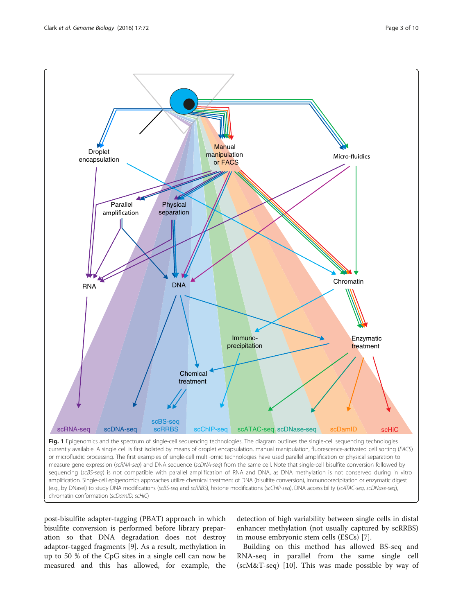<span id="page-2-0"></span>

post-bisulfite adapter-tagging (PBAT) approach in which bisulfite conversion is performed before library preparation so that DNA degradation does not destroy adaptor-tagged fragments [[9\]](#page-8-0). As a result, methylation in up to 50 % of the CpG sites in a single cell can now be measured and this has allowed, for example, the

detection of high variability between single cells in distal enhancer methylation (not usually captured by scRRBS) in mouse embryonic stem cells (ESCs) [\[7](#page-8-0)].

Building on this method has allowed BS-seq and RNA-seq in parallel from the same single cell (scM&T-seq) [\[10](#page-8-0)]. This was made possible by way of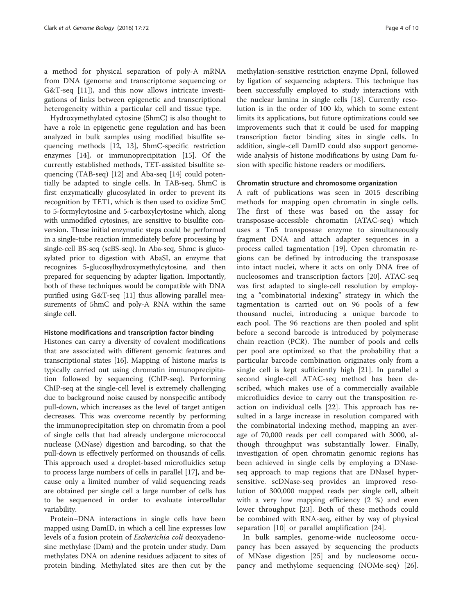a method for physical separation of poly-A mRNA from DNA (genome and transcriptome sequencing or G&T-seq [[11\]](#page-8-0)), and this now allows intricate investigations of links between epigenetic and transcriptional heterogeneity within a particular cell and tissue type.

Hydroxymethylated cytosine (5hmC) is also thought to have a role in epigenetic gene regulation and has been analyzed in bulk samples using modified bisulfite sequencing methods [[12](#page-8-0), [13](#page-8-0)], 5hmC-specific restriction enzymes [[14\]](#page-8-0), or immunoprecipitation [[15](#page-8-0)]. Of the currently established methods, TET-assisted bisulfite sequencing (TAB-seq) [\[12](#page-8-0)] and Aba-seq [\[14\]](#page-8-0) could potentially be adapted to single cells. In TAB-seq, 5hmC is first enzymatically glucosylated in order to prevent its recognition by TET1, which is then used to oxidize 5mC to 5-formylcytosine and 5-carboxylcytosine which, along with unmodified cytosines, are sensitive to bisulfite conversion. These initial enzymatic steps could be performed in a single-tube reaction immediately before processing by single-cell BS-seq (scBS-seq). In Aba-seq, 5hmc is glucosylated prior to digestion with AbaSI, an enzyme that recognizes 5-glucosylhydroxymethylcytosine, and then prepared for sequencing by adapter ligation. Importantly, both of these techniques would be compatible with DNA purified using G&T-seq [\[11\]](#page-8-0) thus allowing parallel measurements of 5hmC and poly-A RNA within the same single cell.

#### Histone modifications and transcription factor binding

Histones can carry a diversity of covalent modifications that are associated with different genomic features and transcriptional states [[16\]](#page-8-0). Mapping of histone marks is typically carried out using chromatin immunoprecipitation followed by sequencing (ChIP-seq). Performing ChIP-seq at the single-cell level is extremely challenging due to background noise caused by nonspecific antibody pull-down, which increases as the level of target antigen decreases. This was overcome recently by performing the immunoprecipitation step on chromatin from a pool of single cells that had already undergone micrococcal nuclease (MNase) digestion and barcoding, so that the pull-down is effectively performed on thousands of cells. This approach used a droplet-based microfluidics setup to process large numbers of cells in parallel [\[17](#page-8-0)], and because only a limited number of valid sequencing reads are obtained per single cell a large number of cells has to be sequenced in order to evaluate intercellular variability.

Protein–DNA interactions in single cells have been mapped using DamID, in which a cell line expresses low levels of a fusion protein of Escherichia coli deoxyadenosine methylase (Dam) and the protein under study. Dam methylates DNA on adenine residues adjacent to sites of protein binding. Methylated sites are then cut by the

methylation-sensitive restriction enzyme DpnI, followed by ligation of sequencing adapters. This technique has been successfully employed to study interactions with the nuclear lamina in single cells [[18](#page-8-0)]. Currently resolution is in the order of 100 kb, which to some extent limits its applications, but future optimizations could see improvements such that it could be used for mapping transcription factor binding sites in single cells. In addition, single-cell DamID could also support genomewide analysis of histone modifications by using Dam fusion with specific histone readers or modifiers.

## Chromatin structure and chromosome organization

A raft of publications was seen in 2015 describing methods for mapping open chromatin in single cells. The first of these was based on the assay for transposase-accessible chromatin (ATAC-seq) which uses a Tn5 transposase enzyme to simultaneously fragment DNA and attach adapter sequences in a process called tagmentation [[19\]](#page-8-0). Open chromatin regions can be defined by introducing the transposase into intact nuclei, where it acts on only DNA free of nucleosomes and transcription factors [\[20](#page-8-0)]. ATAC-seq was first adapted to single-cell resolution by employing a "combinatorial indexing" strategy in which the tagmentation is carried out on 96 pools of a few thousand nuclei, introducing a unique barcode to each pool. The 96 reactions are then pooled and split before a second barcode is introduced by polymerase chain reaction (PCR). The number of pools and cells per pool are optimized so that the probability that a particular barcode combination originates only from a single cell is kept sufficiently high [\[21](#page-8-0)]. In parallel a second single-cell ATAC-seq method has been described, which makes use of a commercially available microfluidics device to carry out the transposition reaction on individual cells [[22](#page-8-0)]. This approach has resulted in a large increase in resolution compared with the combinatorial indexing method, mapping an average of 70,000 reads per cell compared with 3000, although throughput was substantially lower. Finally, investigation of open chromatin genomic regions has been achieved in single cells by employing a DNaseseq approach to map regions that are DNaseI hypersensitive. scDNase-seq provides an improved resolution of 300,000 mapped reads per single cell, albeit with a very low mapping efficiency (2 %) and even lower throughput [[23\]](#page-8-0). Both of these methods could be combined with RNA-seq, either by way of physical separation [[10\]](#page-8-0) or parallel amplification [[24](#page-8-0)].

In bulk samples, genome-wide nucleosome occupancy has been assayed by sequencing the products of MNase digestion [\[25](#page-8-0)] and by nucleosome occupancy and methylome sequencing (NOMe-seq) [\[26](#page-8-0)].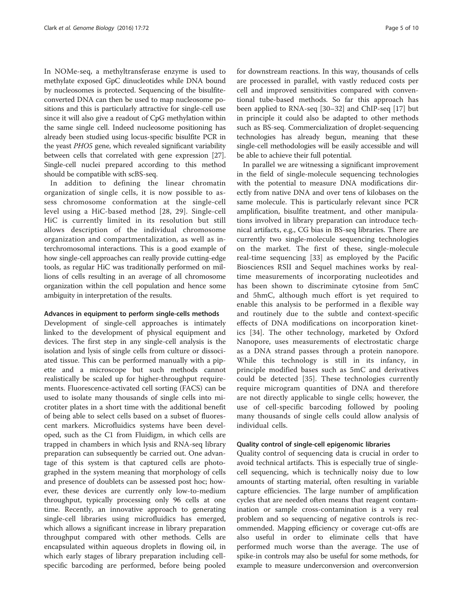In NOMe-seq, a methyltransferase enzyme is used to methylate exposed GpC dinucleotides while DNA bound by nucleosomes is protected. Sequencing of the bisulfiteconverted DNA can then be used to map nucleosome positions and this is particularly attractive for single-cell use since it will also give a readout of CpG methylation within the same single cell. Indeed nucleosome positioning has already been studied using locus-specific bisulfite PCR in the yeast PHO5 gene, which revealed significant variability between cells that correlated with gene expression [[27](#page-8-0)]. Single-cell nuclei prepared according to this method should be compatible with scBS-seq.

In addition to defining the linear chromatin organization of single cells, it is now possible to assess chromosome conformation at the single-cell level using a HiC-based method [\[28, 29\]](#page-8-0). Single-cell HiC is currently limited in its resolution but still allows description of the individual chromosome organization and compartmentalization, as well as interchromosomal interactions. This is a good example of how single-cell approaches can really provide cutting-edge tools, as regular HiC was traditionally performed on millions of cells resulting in an average of all chromosome organization within the cell population and hence some ambiguity in interpretation of the results.

#### Advances in equipment to perform single-cells methods

Development of single-cell approaches is intimately linked to the development of physical equipment and devices. The first step in any single-cell analysis is the isolation and lysis of single cells from culture or dissociated tissue. This can be performed manually with a pipette and a microscope but such methods cannot realistically be scaled up for higher-throughput requirements. Fluorescence-activated cell sorting (FACS) can be used to isolate many thousands of single cells into microtiter plates in a short time with the additional benefit of being able to select cells based on a subset of fluorescent markers. Microfluidics systems have been developed, such as the C1 from Fluidigm, in which cells are trapped in chambers in which lysis and RNA-seq library preparation can subsequently be carried out. One advantage of this system is that captured cells are photographed in the system meaning that morphology of cells and presence of doublets can be assessed post hoc; however, these devices are currently only low-to-medium throughput, typically processing only 96 cells at one time. Recently, an innovative approach to generating single-cell libraries using microfluidics has emerged, which allows a significant increase in library preparation throughput compared with other methods. Cells are encapsulated within aqueous droplets in flowing oil, in which early stages of library preparation including cellspecific barcoding are performed, before being pooled for downstream reactions. In this way, thousands of cells are processed in parallel, with vastly reduced costs per cell and improved sensitivities compared with conventional tube-based methods. So far this approach has been applied to RNA-seq [[30](#page-8-0)–[32\]](#page-8-0) and ChIP-seq [[17\]](#page-8-0) but in principle it could also be adapted to other methods such as BS-seq. Commercialization of droplet-sequencing technologies has already begun, meaning that these single-cell methodologies will be easily accessible and will be able to achieve their full potential.

In parallel we are witnessing a significant improvement in the field of single-molecule sequencing technologies with the potential to measure DNA modifications directly from native DNA and over tens of kilobases on the same molecule. This is particularly relevant since PCR amplification, bisulfite treatment, and other manipulations involved in library preparation can introduce technical artifacts, e.g., CG bias in BS-seq libraries. There are currently two single-molecule sequencing technologies on the market. The first of these, single-molecule real-time sequencing [[33](#page-8-0)] as employed by the Pacific Biosciences RSII and Sequel machines works by realtime measurements of incorporating nucleotides and has been shown to discriminate cytosine from 5mC and 5hmC, although much effort is yet required to enable this analysis to be performed in a flexible way and routinely due to the subtle and context-specific effects of DNA modifications on incorporation kinetics [[34\]](#page-8-0). The other technology, marketed by Oxford Nanopore, uses measurements of electrostatic charge as a DNA strand passes through a protein nanopore. While this technology is still in its infancy, in principle modified bases such as 5mC and derivatives could be detected [\[35](#page-8-0)]. These technologies currently require microgram quantities of DNA and therefore are not directly applicable to single cells; however, the use of cell-specific barcoding followed by pooling many thousands of single cells could allow analysis of individual cells.

# Quality control of single-cell epigenomic libraries

Quality control of sequencing data is crucial in order to avoid technical artifacts. This is especially true of singlecell sequencing, which is technically noisy due to low amounts of starting material, often resulting in variable capture efficiencies. The large number of amplification cycles that are needed often means that reagent contamination or sample cross-contamination is a very real problem and so sequencing of negative controls is recommended. Mapping efficiency or coverage cut-offs are also useful in order to eliminate cells that have performed much worse than the average. The use of spike-in controls may also be useful for some methods, for example to measure underconversion and overconversion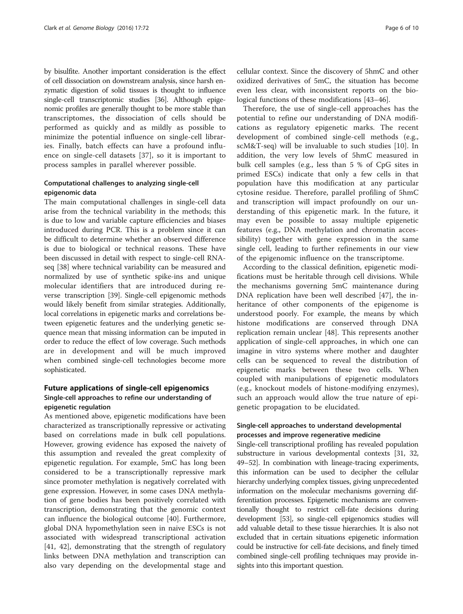by bisulfite. Another important consideration is the effect of cell dissociation on downstream analysis, since harsh enzymatic digestion of solid tissues is thought to influence single-cell transcriptomic studies [\[36\]](#page-8-0). Although epigenomic profiles are generally thought to be more stable than transcriptomes, the dissociation of cells should be performed as quickly and as mildly as possible to minimize the potential influence on single-cell libraries. Finally, batch effects can have a profound influence on single-cell datasets [[37\]](#page-8-0), so it is important to process samples in parallel wherever possible.

# Computational challenges to analyzing single-cell epigenomic data

The main computational challenges in single-cell data arise from the technical variability in the methods; this is due to low and variable capture efficiencies and biases introduced during PCR. This is a problem since it can be difficult to determine whether an observed difference is due to biological or technical reasons. These have been discussed in detail with respect to single-cell RNAseq [\[38](#page-8-0)] where technical variability can be measured and normalized by use of synthetic spike-ins and unique molecular identifiers that are introduced during reverse transcription [[39](#page-8-0)]. Single-cell epigenomic methods would likely benefit from similar strategies. Additionally, local correlations in epigenetic marks and correlations between epigenetic features and the underlying genetic sequence mean that missing information can be imputed in order to reduce the effect of low coverage. Such methods are in development and will be much improved when combined single-cell technologies become more sophisticated.

# Future applications of single-cell epigenomics Single-cell approaches to refine our understanding of epigenetic regulation

As mentioned above, epigenetic modifications have been characterized as transcriptionally repressive or activating based on correlations made in bulk cell populations. However, growing evidence has exposed the naivety of this assumption and revealed the great complexity of epigenetic regulation. For example, 5mC has long been considered to be a transcriptionally repressive mark since promoter methylation is negatively correlated with gene expression. However, in some cases DNA methylation of gene bodies has been positively correlated with transcription, demonstrating that the genomic context can influence the biological outcome [[40](#page-8-0)]. Furthermore, global DNA hypomethylation seen in naive ESCs is not associated with widespread transcriptional activation [[41,](#page-8-0) [42](#page-9-0)], demonstrating that the strength of regulatory links between DNA methylation and transcription can also vary depending on the developmental stage and

cellular context. Since the discovery of 5hmC and other oxidized derivatives of 5mC, the situation has become even less clear, with inconsistent reports on the biological functions of these modifications [\[43](#page-9-0)–[46\]](#page-9-0).

Therefore, the use of single-cell approaches has the potential to refine our understanding of DNA modifications as regulatory epigenetic marks. The recent development of combined single-cell methods (e.g., scM&T-seq) will be invaluable to such studies [\[10](#page-8-0)]. In addition, the very low levels of 5hmC measured in bulk cell samples (e.g., less than 5 % of CpG sites in primed ESCs) indicate that only a few cells in that population have this modification at any particular cytosine residue. Therefore, parallel profiling of 5hmC and transcription will impact profoundly on our understanding of this epigenetic mark. In the future, it may even be possible to assay multiple epigenetic features (e.g., DNA methylation and chromatin accessibility) together with gene expression in the same single cell, leading to further refinements in our view of the epigenomic influence on the transcriptome.

According to the classical definition, epigenetic modifications must be heritable through cell divisions. While the mechanisms governing 5mC maintenance during DNA replication have been well described [[47\]](#page-9-0), the inheritance of other components of the epigenome is understood poorly. For example, the means by which histone modifications are conserved through DNA replication remain unclear [[48\]](#page-9-0). This represents another application of single-cell approaches, in which one can imagine in vitro systems where mother and daughter cells can be sequenced to reveal the distribution of epigenetic marks between these two cells. When coupled with manipulations of epigenetic modulators (e.g., knockout models of histone-modifying enzymes), such an approach would allow the true nature of epigenetic propagation to be elucidated.

# Single-cell approaches to understand developmental processes and improve regenerative medicine

Single-cell transcriptional profiling has revealed population substructure in various developmental contexts [\[31](#page-8-0), [32](#page-8-0), [49](#page-9-0)–[52](#page-9-0)]. In combination with lineage-tracing experiments, this information can be used to decipher the cellular hierarchy underlying complex tissues, giving unprecedented information on the molecular mechanisms governing differentiation processes. Epigenetic mechanisms are conventionally thought to restrict cell-fate decisions during development [\[53\]](#page-9-0), so single-cell epigenomics studies will add valuable detail to these tissue hierarchies. It is also not excluded that in certain situations epigenetic information could be instructive for cell-fate decisions, and finely timed combined single-cell profiling techniques may provide insights into this important question.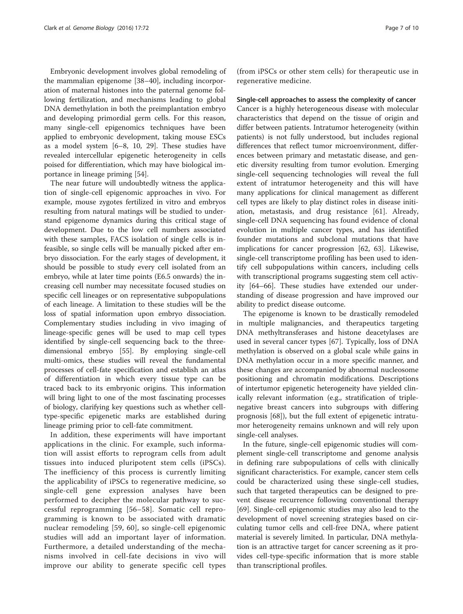Embryonic development involves global remodeling of the mammalian epigenome [[38](#page-8-0)–[40](#page-8-0)], including incorporation of maternal histones into the paternal genome following fertilization, and mechanisms leading to global DNA demethylation in both the preimplantation embryo and developing primordial germ cells. For this reason, many single-cell epigenomics techniques have been applied to embryonic development, taking mouse ESCs as a model system [\[6](#page-8-0)–[8](#page-8-0), [10, 29\]](#page-8-0). These studies have revealed intercellular epigenetic heterogeneity in cells poised for differentiation, which may have biological importance in lineage priming [\[54\]](#page-9-0).

The near future will undoubtedly witness the application of single-cell epigenomic approaches in vivo. For example, mouse zygotes fertilized in vitro and embryos resulting from natural matings will be studied to understand epigenome dynamics during this critical stage of development. Due to the low cell numbers associated with these samples, FACS isolation of single cells is infeasible, so single cells will be manually picked after embryo dissociation. For the early stages of development, it should be possible to study every cell isolated from an embryo, while at later time points (E6.5 onwards) the increasing cell number may necessitate focused studies on specific cell lineages or on representative subpopulations of each lineage. A limitation to these studies will be the loss of spatial information upon embryo dissociation. Complementary studies including in vivo imaging of lineage-specific genes will be used to map cell types identified by single-cell sequencing back to the threedimensional embryo [[55\]](#page-9-0). By employing single-cell multi-omics, these studies will reveal the fundamental processes of cell-fate specification and establish an atlas of differentiation in which every tissue type can be traced back to its embryonic origins. This information will bring light to one of the most fascinating processes of biology, clarifying key questions such as whether celltype-specific epigenetic marks are established during lineage priming prior to cell-fate commitment.

In addition, these experiments will have important applications in the clinic. For example, such information will assist efforts to reprogram cells from adult tissues into induced pluripotent stem cells (iPSCs). The inefficiency of this process is currently limiting the applicability of iPSCs to regenerative medicine, so single-cell gene expression analyses have been performed to decipher the molecular pathway to successful reprogramming [[56](#page-9-0)–[58\]](#page-9-0). Somatic cell reprogramming is known to be associated with dramatic nuclear remodeling [[59](#page-9-0), [60](#page-9-0)], so single-cell epigenomic studies will add an important layer of information. Furthermore, a detailed understanding of the mechanisms involved in cell-fate decisions in vivo will improve our ability to generate specific cell types (from iPSCs or other stem cells) for therapeutic use in regenerative medicine.

Single-cell approaches to assess the complexity of cancer Cancer is a highly heterogeneous disease with molecular characteristics that depend on the tissue of origin and differ between patients. Intratumor heterogeneity (within patients) is not fully understood, but includes regional differences that reflect tumor microenvironment, differences between primary and metastatic disease, and genetic diversity resulting from tumor evolution. Emerging single-cell sequencing technologies will reveal the full extent of intratumor heterogeneity and this will have many applications for clinical management as different cell types are likely to play distinct roles in disease initiation, metastasis, and drug resistance [[61\]](#page-9-0). Already, single-cell DNA sequencing has found evidence of clonal evolution in multiple cancer types, and has identified founder mutations and subclonal mutations that have implications for cancer progression [\[62, 63\]](#page-9-0). Likewise, single-cell transcriptome profiling has been used to identify cell subpopulations within cancers, including cells with transcriptional programs suggesting stem cell activity [[64](#page-9-0)–[66](#page-9-0)]. These studies have extended our understanding of disease progression and have improved our ability to predict disease outcome.

The epigenome is known to be drastically remodeled in multiple malignancies, and therapeutics targeting DNA methyltransferases and histone deacetylases are used in several cancer types [\[67](#page-9-0)]. Typically, loss of DNA methylation is observed on a global scale while gains in DNA methylation occur in a more specific manner, and these changes are accompanied by abnormal nucleosome positioning and chromatin modifications. Descriptions of intertumor epigenetic heterogeneity have yielded clinically relevant information (e.g., stratification of triplenegative breast cancers into subgroups with differing prognosis [[68\]](#page-9-0)), but the full extent of epigenetic intratumor heterogeneity remains unknown and will rely upon single-cell analyses.

In the future, single-cell epigenomic studies will complement single-cell transcriptome and genome analysis in defining rare subpopulations of cells with clinically significant characteristics. For example, cancer stem cells could be characterized using these single-cell studies, such that targeted therapeutics can be designed to prevent disease recurrence following conventional therapy [[69\]](#page-9-0). Single-cell epigenomic studies may also lead to the development of novel screening strategies based on circulating tumor cells and cell-free DNA, where patient material is severely limited. In particular, DNA methylation is an attractive target for cancer screening as it provides cell-type-specific information that is more stable than transcriptional profiles.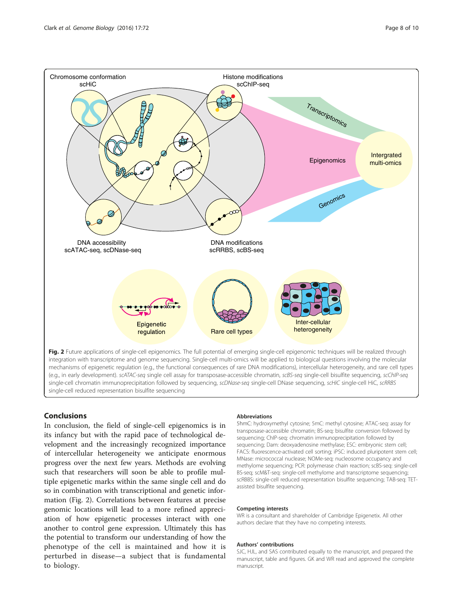<span id="page-7-0"></span>

# **Conclusions**

In conclusion, the field of single-cell epigenomics is in its infancy but with the rapid pace of technological development and the increasingly recognized importance of intercellular heterogeneity we anticipate enormous progress over the next few years. Methods are evolving such that researchers will soon be able to profile multiple epigenetic marks within the same single cell and do so in combination with transcriptional and genetic information (Fig. 2). Correlations between features at precise genomic locations will lead to a more refined appreciation of how epigenetic processes interact with one another to control gene expression. Ultimately this has the potential to transform our understanding of how the phenotype of the cell is maintained and how it is perturbed in disease—a subject that is fundamental to biology.

#### Abbreviations

5hmC: hydroxymethyl cytosine; 5mC: methyl cytosine; ATAC-seq: assay for transposase-accessible chromatin; BS-seq: bisulfite conversion followed by sequencing; ChIP-seq: chromatin immunoprecipitation followed by sequencing; Dam: deoxyadenosine methylase; ESC: embryonic stem cell; FACS: fluorescence-activated cell sorting; iPSC: induced pluripotent stem cell; MNase: micrococcal nuclease; NOMe-seq: nucleosome occupancy and methylome sequencing; PCR: polymerase chain reaction; scBS-seq: single-cell BS-seq; scM&T-seq: single-cell methylome and transcriptome sequencing; scRBBS: single-cell reduced representation bisulfite sequencing; TAB-seq: TETassisted bisulfite sequencing.

#### Competing interests

WR is a consultant and shareholder of Cambridge Epigenetix. All other authors declare that they have no competing interests.

## Authors' contributions

SJC, HJL, and SAS contributed equally to the manuscript, and prepared the manuscript, table and figures. GK and WR read and approved the complete manuscript.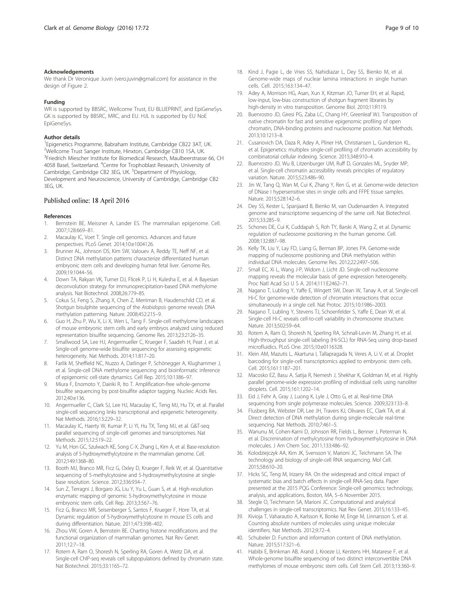#### <span id="page-8-0"></span>Acknowledgements

We thank Dr Veronique Juvin (vero.juvin@gmail.com) for assistance in the design of Figure [2.](#page-7-0)

#### Funding

WR is supported by BBSRC, Wellcome Trust, EU BLUEPRINT, and EpiGeneSys. GK is supported by BBSRC, MRC, and EU. HJL is supported by EU NoE EpiGeneSys.

#### Author details

<sup>1</sup> Epigenetics Programme, Babraham Institute, Cambridge CB22 3AT, UK. <sup>2</sup>Wellcome Trust Sanger Institute, Hinxton, Cambridge CB10 1SA, UK. <sup>3</sup>Friedrich Miescher Institute for Biomedical Research, Maulbeerstrasse 66, CH 4058 Basel, Switzerland. <sup>4</sup>Centre for Trophoblast Research, University of Cambridge, Cambridge CB2 3EG, UK. <sup>5</sup>Department of Physiology, Development and Neuroscience, University of Cambridge, Cambridge CB2 3EG, UK.

# Published online: 18 April 2016

#### References

- 1. Bernstein BE, Meissner A, Lander ES. The mammalian epigenome. Cell. 2007;128:669–81.
- 2. Macaulay IC, Voet T. Single cell genomics. Advances and future perspectives. PLoS Genet. 2014;10:e1004126.
- 3. Brunner AL, Johnson DS, Kim SW, Valouev A, Reddy TE, Neff NF, et al. Distinct DNA methylation patterns characterize differentiated human embryonic stem cells and developing human fetal liver. Genome Res. 2009;19:1044–56.
- 4. Down TA, Rakyan VK, Turner DJ, Flicek P, Li H, Kulesha E, et al. A Bayesian deconvolution strategy for immunoprecipitation-based DNA methylome analysis. Nat Biotechnol. 2008;26:779–85.
- 5. Cokus SJ, Feng S, Zhang X, Chen Z, Merriman B, Haudenschild CD, et al. Shotgun bisulphite sequencing of the Arabidopsis genome reveals DNA methylation patterning. Nature. 2008;452:215–9.
- 6. Guo H, Zhu P, Wu X, Li X, Wen L, Tang F. Single-cell methylome landscapes of mouse embryonic stem cells and early embryos analyzed using reduced representation bisulfite sequencing. Genome Res. 2013;23:2126–35.
- 7. Smallwood SA, Lee HJ, Angermueller C, Krueger F, Saadeh H, Peat J, et al. Single-cell genome-wide bisulfite sequencing for assessing epigenetic heterogeneity. Nat Methods. 2014;11:817–20.
- 8. Farlik M, Sheffield NC, Nuzzo A, Datlinger P, Schönegger A, Klughammer J, et al. Single-cell DNA methylome sequencing and bioinformatic inference of epigenomic cell-state dynamics. Cell Rep. 2015;10:1386–97.
- Miura F, Enomoto Y, Dairiki R, Ito T. Amplification-free whole-genome bisulfite sequencing by post-bisulfite adaptor tagging. Nucleic Acids Res. 2012;40:e136.
- 10. Angermueller C, Clark SJ, Lee HJ, Macaulay IC, Teng MJ, Hu TX, et al. Parallel single-cell sequencing links transcriptional and epigenetic heterogeneity. Nat Methods. 2016;13:229–32.
- 11. Macaulay IC, Haerty W, Kumar P, Li YI, Hu TX, Teng MJ, et al. G&T-seq: parallel sequencing of single-cell genomes and transcriptomes. Nat Methods. 2015;12:519–22.
- 12. Yu M, Hon GC, Szulwach KE, Song C-X, Zhang L, Kim A, et al. Base-resolution analysis of 5-hydroxymethylcytosine in the mammalian genome. Cell. 2012;149:1368–80.
- 13. Booth MJ, Branco MR, Ficz G, Oxley D, Krueger F, Reik W, et al. Quantitative sequencing of 5-methylcytosine and 5-hydroxymethylcytosine at singlebase resolution. Science. 2012;336:934–7.
- 14. Sun Z, Terragni J, Borgaro JG, Liu Y, Yu L, Guan S, et al. High-resolution enzymatic mapping of genomic 5-hydroxymethylcytosine in mouse embryonic stem cells. Cell Rep. 2013;3:567–76.
- 15. Ficz G, Branco MR, Seisenberger S, Santos F, Krueger F, Hore TA, et al. Dynamic regulation of 5-hydroxymethylcytosine in mouse ES cells and during differentiation. Nature. 2011;473:398–402.
- 16. Zhou VW, Goren A, Bernstein BE. Charting histone modifications and the functional organization of mammalian genomes. Nat Rev Genet. 2011;12:7–18.
- 17. Rotem A, Ram O, Shoresh N, Sperling RA, Goren A, Weitz DA, et al. Single-cell ChIP-seq reveals cell subpopulations defined by chromatin state. Nat Biotechnol. 2015;33:1165–72.
- 18. Kind J, Pagie L, de Vries SS, Nahidiazar L, Dey SS, Bienko M, et al. Genome-wide maps of nuclear lamina interactions in single human cells. Cell. 2015;163:134–47.
- 19. Adey A, Morrison HG, Asan, Xun X, Kitzman JO, Turner EH, et al. Rapid, low-input, low-bias construction of shotgun fragment libraries by high-density in vitro transposition. Genome Biol. 2010;11:R119.
- 20. Buenrostro JD, Giresi PG, Zaba LC, Chang HY, Greenleaf WJ. Transposition of native chromatin for fast and sensitive epigenomic profiling of open chromatin, DNA-binding proteins and nucleosome position. Nat Methods. 2013;10:1213–8.
- 21. Cusanovich DA, Daza R, Adey A, Pliner HA, Christiansen L, Gunderson KL, et al. Epigenetics: multiplex single-cell profiling of chromatin accessibility by combinatorial cellular indexing. Science. 2015;348:910–4.
- 22. Buenrostro JD, Wu B, Litzenburger UM, Ruff D, Gonzales ML, Snyder MP, et al. Single-cell chromatin accessibility reveals principles of regulatory variation. Nature. 2015;523:486–90.
- 23. Jin W, Tang Q, Wan M, Cui K, Zhang Y, Ren G, et al. Genome-wide detection of DNase I hypersensitive sites in single cells and FFPE tissue samples. Nature. 2015;528:142–6.
- 24. Dey SS, Kester L, Spanjaard B, Bienko M, van Oudenaarden A. Integrated genome and transcriptome sequencing of the same cell. Nat Biotechnol. 2015;33:285–9.
- 25. Schones DE, Cui K, Cuddapah S, Roh TY, Barski A, Wang Z, et al. Dynamic regulation of nucleosome positioning in the human genome. Cell. 2008;132:887–98.
- 26. Kelly TK, Liu Y, Lay FD, Liang G, Berman BP, Jones PA. Genome-wide mapping of nucleosome positioning and DNA methylation within individual DNA molecules. Genome Res. 2012;22:2497–506.
- 27. Small EC, Xi L, Wang J-P, Widom J, Licht JD. Single-cell nucleosome mapping reveals the molecular basis of gene expression heterogeneity. Proc Natl Acad Sci U S A. 2014;111:E2462–71.
- 28. Nagano T, Lubling Y, Yaffe E, Wingett SW, Dean W, Tanay A, et al. Single-cell Hi-C for genome-wide detection of chromatin interactions that occur simultaneously in a single cell. Nat Protoc. 2015;10:1986–2003.
- 29. Nagano T, Lubling Y, Stevens TJ, Schoenfelder S, Yaffe E, Dean W, et al. Single-cell Hi-C reveals cell-to-cell variability in chromosome structure. Nature. 2013;502:59–64.
- 30. Rotem A, Ram O, Shoresh N, Sperling RA, Schnall-Levin M, Zhang H, et al. High-throughput single-cell labeling (Hi-SCL) for RNA-Seq using drop-based microfluidics. PLoS One. 2015;10:e0116328.
- 31. Klein AM, Mazutis L, Akartuna I, Tallapragada N, Veres A, Li V, et al. Droplet barcoding for single-cell transcriptomics applied to embryonic stem cells. Cell. 2015;161:1187–201.
- 32. Macosko EZ, Basu A, Satija R, Nemesh J, Shekhar K, Goldman M, et al. Highly parallel genome-wide expression profiling of individual cells using nanoliter droplets. Cell. 2015;161:1202–14.
- 33. Eid J, Fehr A, Gray J, Luong K, Lyle J, Otto G, et al. Real-time DNA sequencing from single polymerase molecules. Science. 2009;323:133–8.
- 34. Flusberg BA, Webster DR, Lee JH, Travers KJ, Olivares EC, Clark TA, et al. Direct detection of DNA methylation during single-molecule real-time sequencing. Nat Methods. 2010;7:461–5.
- 35. Wanunu M, Cohen-Karni D, Johnson RR, Fields L, Benner J, Peterman N, et al. Discrimination of methylcytosine from hydroxymethylcytosine in DNA molecules. J Am Chem Soc. 2011;133:486–92.
- 36. Kolodziejczyk AA, Kim JK, Svensson V, Marioni JC, Teichmann SA. The technology and biology of single-cell RNA sequencing. Mol Cell. 2015;58:610–20.
- 37. Hicks SC, Teng M, Irizarry RA. On the widespread and critical impact of systematic bias and batch effects in single-cell RNA-Seq data. Paper presented at the 2015 PQG Conference: Single-cell genomics: technology, analysis, and applications, Boston, MA, 5–6 November 2015.
- 38. Stegle O, Teichmann SA, Marioni JC. Computational and analytical challenges in single-cell transcriptomics. Nat Rev Genet. 2015;16:133–45.
- 39. Kivioja T, Vaharautio A, Karlsson K, Bonke M, Enge M, Linnarsson S, et al. Counting absolute numbers of molecules using unique molecular identifiers. Nat Methods. 2012;9:72–4.
- 40. Schubeler D. Function and information content of DNA methylation. Nature. 2015;517:321–6.
- 41. Habibi E, Brinkman AB, Arand J, Kroeze LI, Kerstens HH, Matarese F, et al. Whole-genome bisulfite sequencing of two distinct interconvertible DNA methylomes of mouse embryonic stem cells. Cell Stem Cell. 2013;13:360–9.